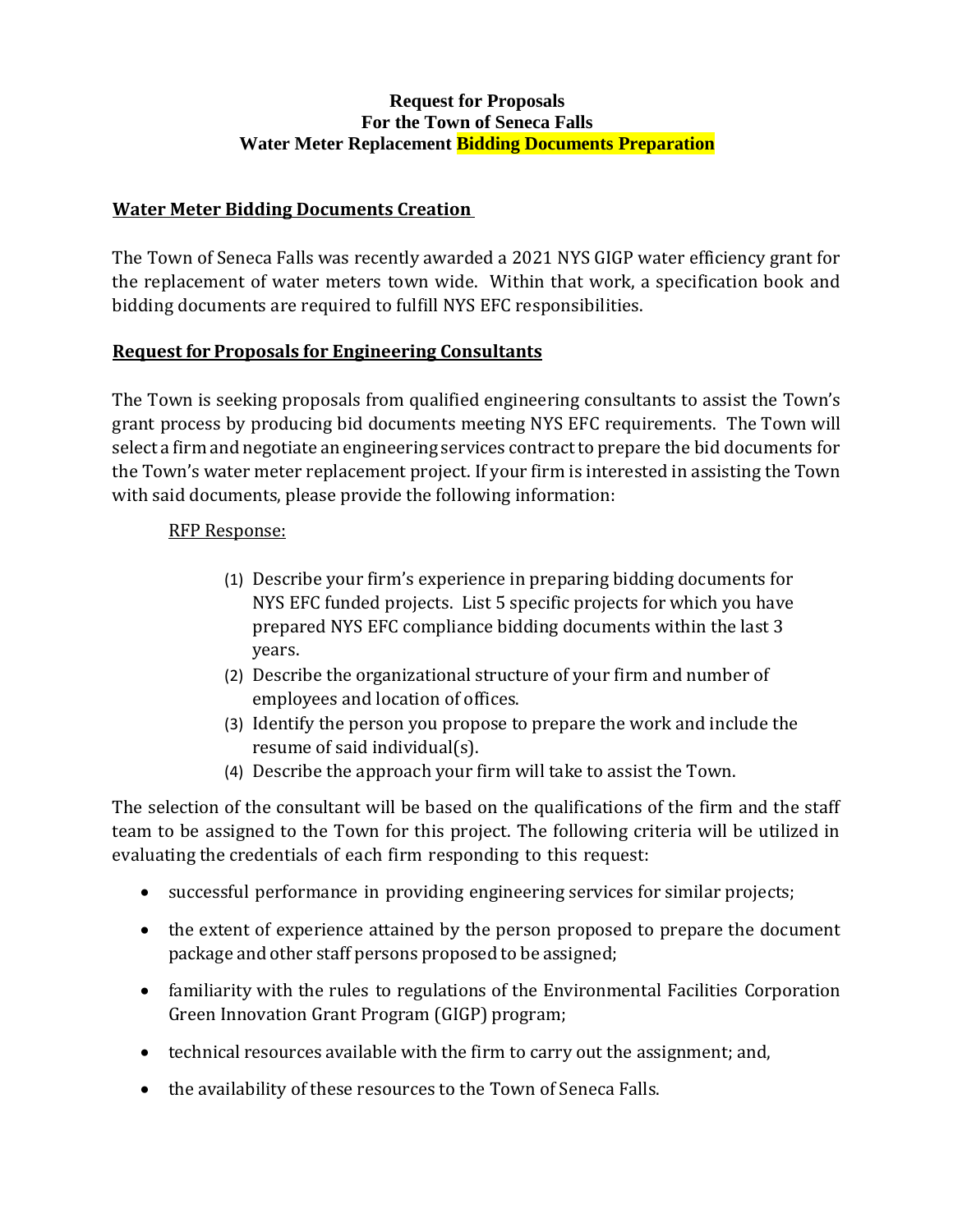## **Request for Proposals For the Town of Seneca Falls Water Meter Replacement Bidding Documents Preparation**

## **Water Meter Bidding Documents Creation**

The Town of Seneca Falls was recently awarded a 2021 NYS GIGP water efficiency grant for the replacement of water meters town wide. Within that work, a specification book and bidding documents are required to fulfill NYS EFC responsibilities.

## **Request for Proposals for Engineering Consultants**

The Town is seeking proposals from qualified engineering consultants to assist the Town's grant process by producing bid documents meeting NYS EFC requirements. The Town will select a firm and negotiate an engineering services contract to prepare the bid documents for the Town's water meter replacement project. If your firm is interested in assisting the Town with said documents, please provide the following information:

## RFP Response:

- (1) Describe your firm's experience in preparing bidding documents for NYS EFC funded projects. List 5 specific projects for which you have prepared NYS EFC compliance bidding documents within the last 3 years.
- (2) Describe the organizational structure of your firm and number of employees and location of offices.
- (3) Identify the person you propose to prepare the work and include the resume of said individual(s).
- (4) Describe the approach your firm will take to assist the Town.

The selection of the consultant will be based on the qualifications of the firm and the staff team to be assigned to the Town for this project. The following criteria will be utilized in evaluating the credentials of each firm responding to this request:

- successful performance in providing engineering services for similar projects;
- the extent of experience attained by the person proposed to prepare the document package and other staff persons proposed to be assigned;
- familiarity with the rules to regulations of the Environmental Facilities Corporation Green Innovation Grant Program (GIGP) program;
- technical resources available with the firm to carry out the assignment; and,
- the availability of these resources to the Town of Seneca Falls.